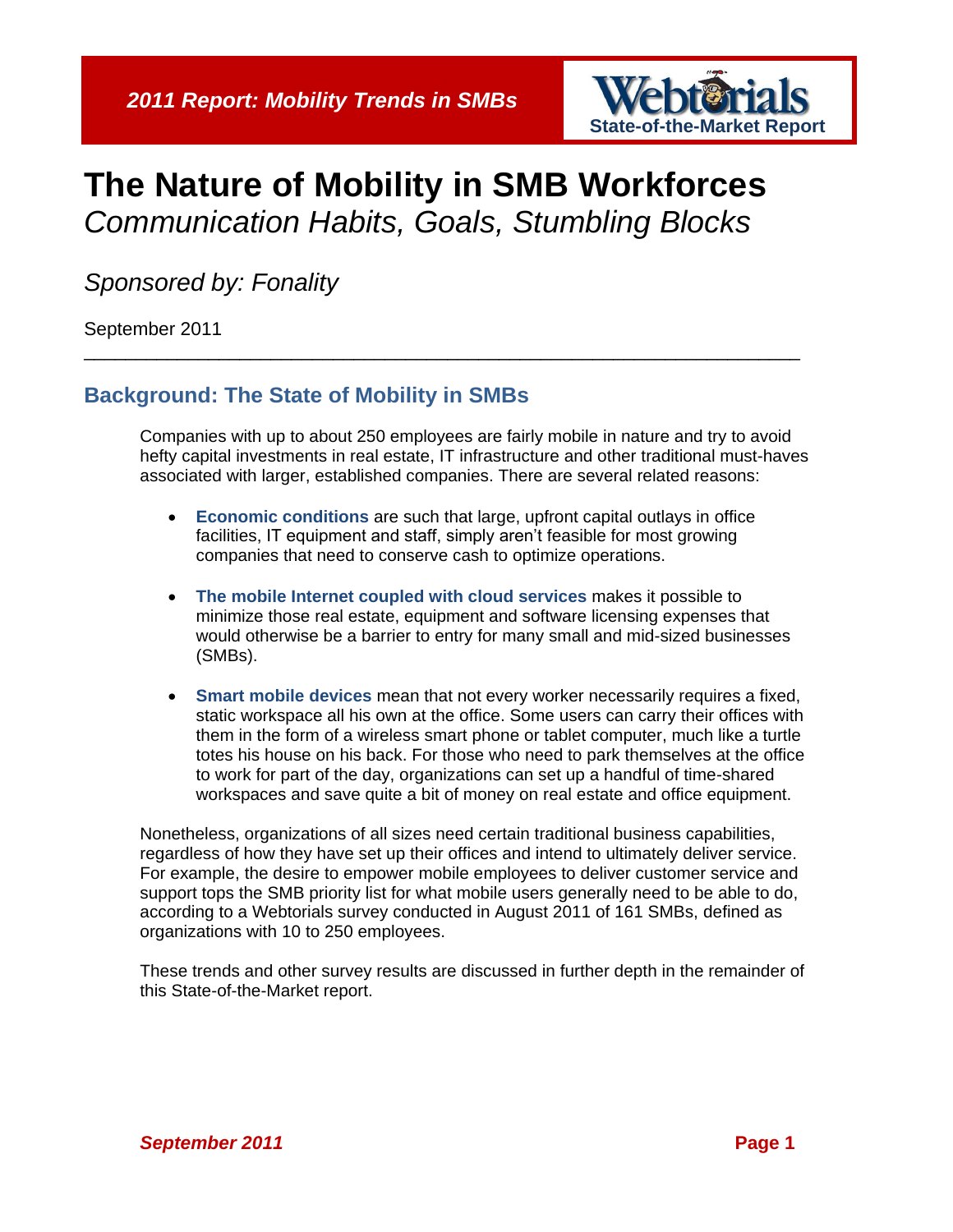

# **The Nature of Mobility in SMB Workforces** *Communication Habits, Goals, Stumbling Blocks*

\_\_\_\_\_\_\_\_\_\_\_\_\_\_\_\_\_\_\_\_\_\_\_\_\_\_\_\_\_\_\_\_\_\_\_\_\_\_\_\_\_\_\_\_\_\_\_\_\_\_\_\_\_\_\_\_\_\_\_\_\_\_\_\_\_\_\_\_\_

*Sponsored by: Fonality*

September 2011

# **Background: The State of Mobility in SMBs**

Companies with up to about 250 employees are fairly mobile in nature and try to avoid hefty capital investments in real estate, IT infrastructure and other traditional must-haves associated with larger, established companies. There are several related reasons:

- **Economic conditions** are such that large, upfront capital outlays in office facilities, IT equipment and staff, simply aren't feasible for most growing companies that need to conserve cash to optimize operations.
- **The mobile Internet coupled with cloud services** makes it possible to minimize those real estate, equipment and software licensing expenses that would otherwise be a barrier to entry for many small and mid-sized businesses (SMBs).
- **Smart mobile devices** mean that not every worker necessarily requires a fixed, static workspace all his own at the office. Some users can carry their offices with them in the form of a wireless smart phone or tablet computer, much like a turtle totes his house on his back. For those who need to park themselves at the office to work for part of the day, organizations can set up a handful of time-shared workspaces and save quite a bit of money on real estate and office equipment.

Nonetheless, organizations of all sizes need certain traditional business capabilities, regardless of how they have set up their offices and intend to ultimately deliver service. For example, the desire to empower mobile employees to deliver customer service and support tops the SMB priority list for what mobile users generally need to be able to do, according to a Webtorials survey conducted in August 2011 of 161 SMBs, defined as organizations with 10 to 250 employees.

These trends and other survey results are discussed in further depth in the remainder of this State-of-the-Market report.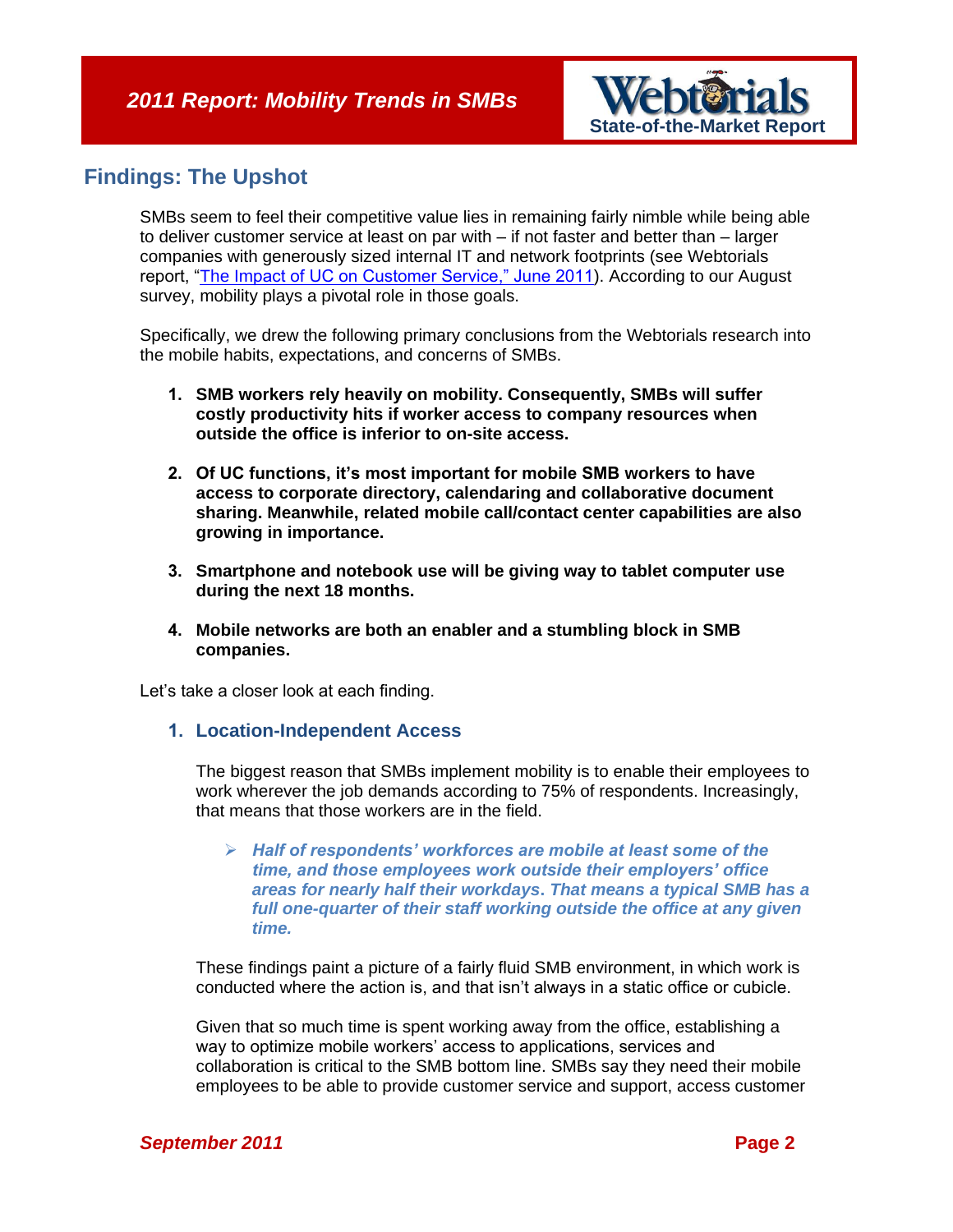

# **Findings: The Upshot**

SMBs seem to feel their competitive value lies in remaining fairly nimble while being able to deliver customer service at least on par with – if not faster and better than – larger companies with generously sized internal IT and network footprints (see Webtorials report, ["The Impact of UC on Customer Service," June 2011\)](http://www.webtorials.com/content/2011/06/2011-smb-customer-service.html). According to our August survey, mobility plays a pivotal role in those goals.

Specifically, we drew the following primary conclusions from the Webtorials research into the mobile habits, expectations, and concerns of SMBs.

- **1. SMB workers rely heavily on mobility. Consequently, SMBs will suffer costly productivity hits if worker access to company resources when outside the office is inferior to on-site access.**
- **2. Of UC functions, it's most important for mobile SMB workers to have access to corporate directory, calendaring and collaborative document sharing. Meanwhile, related mobile call/contact center capabilities are also growing in importance.**
- **3. Smartphone and notebook use will be giving way to tablet computer use during the next 18 months.**
- **4. Mobile networks are both an enabler and a stumbling block in SMB companies.**

Let's take a closer look at each finding.

#### **1. Location-Independent Access**

The biggest reason that SMBs implement mobility is to enable their employees to work wherever the job demands according to 75% of respondents. Increasingly, that means that those workers are in the field.

 *Half of respondents' workforces are mobile at least some of the time, and those employees work outside their employers' office areas for nearly half their workdays***.** *That means a typical SMB has a full one-quarter of their staff working outside the office at any given time.*

These findings paint a picture of a fairly fluid SMB environment, in which work is conducted where the action is, and that isn't always in a static office or cubicle.

Given that so much time is spent working away from the office, establishing a way to optimize mobile workers' access to applications, services and collaboration is critical to the SMB bottom line. SMBs say they need their mobile employees to be able to provide customer service and support, access customer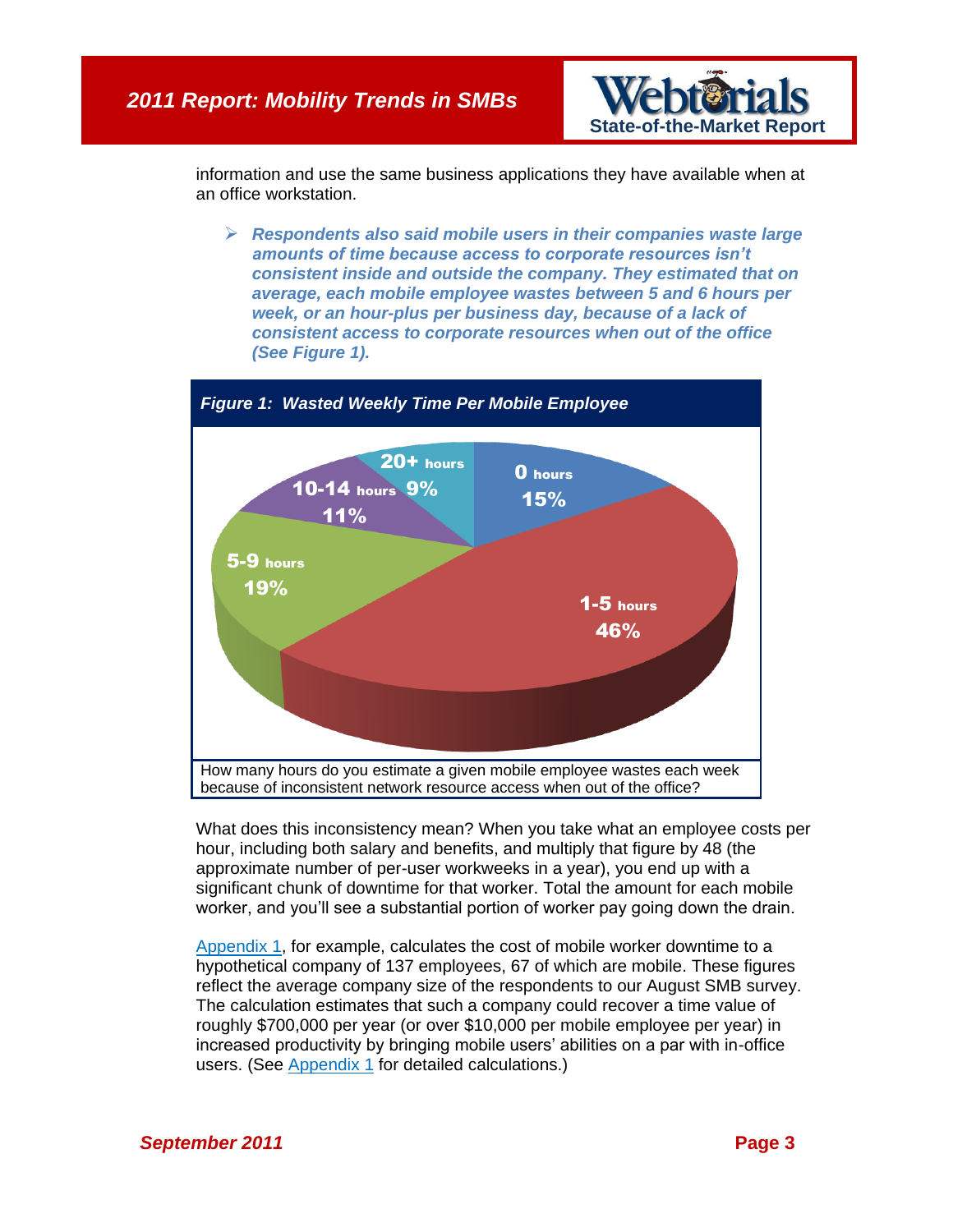

information and use the same business applications they have available when at an office workstation.

 *Respondents also said mobile users in their companies waste large amounts of time because access to corporate resources isn't consistent inside and outside the company. They estimated that on average, each mobile employee wastes between 5 and 6 hours per week, or an hour-plus per business day, because of a lack of consistent access to corporate resources when out of the office (See [Figure 1\)](#page-2-0).*

<span id="page-2-0"></span>

What does this inconsistency mean? When you take what an employee costs per hour, including both salary and benefits, and multiply that figure by 48 (the approximate number of per-user workweeks in a year), you end up with a significant chunk of downtime for that worker. Total the amount for each mobile worker, and you'll see a substantial portion of worker pay going down the drain.

[Appendix 1,](#page-7-0) for example, calculates the cost of mobile worker downtime to a hypothetical company of 137 employees, 67 of which are mobile. These figures reflect the average company size of the respondents to our August SMB survey. The calculation estimates that such a company could recover a time value of roughly \$700,000 per year (or over \$10,000 per mobile employee per year) in increased productivity by bringing mobile users' abilities on a par with in-office users. (See [Appendix 1](#page-7-0) for detailed calculations.)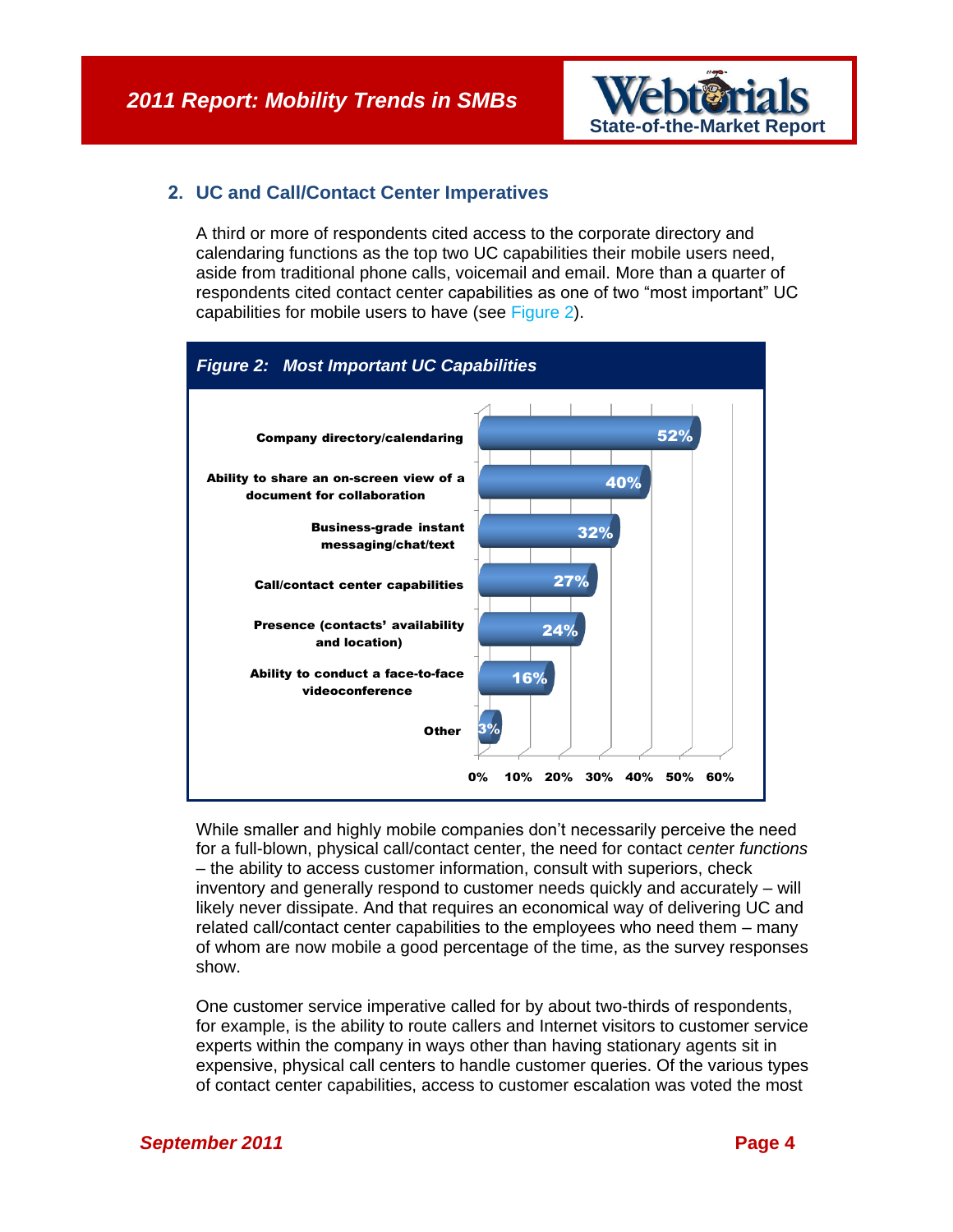

## **2. UC and Call/Contact Center Imperatives**

A third or more of respondents cited access to the corporate directory and calendaring functions as the top two UC capabilities their mobile users need, aside from traditional phone calls, voicemail and email. More than a quarter of respondents cited contact center capabilities as one of two "most important" UC capabilities for mobile users to have (see [Figure 2\)](#page-3-0).

<span id="page-3-0"></span>

While smaller and highly mobile companies don't necessarily perceive the need for a full-blown, physical call/contact center, the need for contact *cente*r *functions* – the ability to access customer information, consult with superiors, check inventory and generally respond to customer needs quickly and accurately – will likely never dissipate. And that requires an economical way of delivering UC and related call/contact center capabilities to the employees who need them – many of whom are now mobile a good percentage of the time, as the survey responses show.

One customer service imperative called for by about two-thirds of respondents, for example, is the ability to route callers and Internet visitors to customer service experts within the company in ways other than having stationary agents sit in expensive, physical call centers to handle customer queries. Of the various types of contact center capabilities, access to customer escalation was voted the most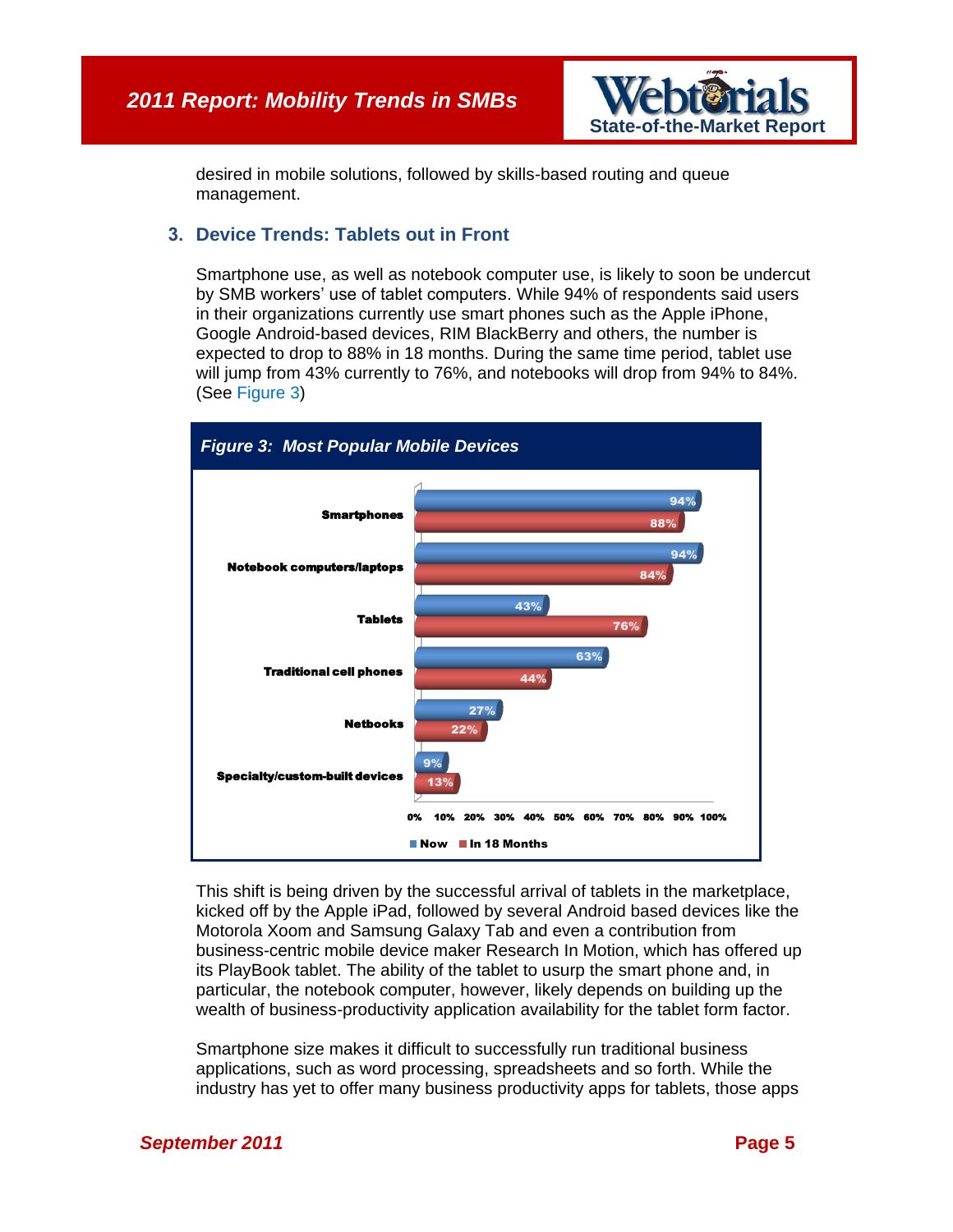

desired in mobile solutions, followed by skills-based routing and queue management.

### **3. Device Trends: Tablets out in Front**

Smartphone use, as well as notebook computer use, is likely to soon be undercut by SMB workers' use of tablet computers. While 94% of respondents said users in their organizations currently use smart phones such as the Apple iPhone, Google Android-based devices, RIM BlackBerry and others, the number is expected to drop to 88% in 18 months. During the same time period, tablet use will jump from 43% currently to 76%, and notebooks will drop from 94% to 84%. (See [Figure 3\)](#page-4-0)

<span id="page-4-0"></span>

This shift is being driven by the successful arrival of tablets in the marketplace, kicked off by the Apple iPad, followed by several Android based devices like the Motorola Xoom and Samsung Galaxy Tab and even a contribution from business-centric mobile device maker Research In Motion, which has offered up its PlayBook tablet. The ability of the tablet to usurp the smart phone and, in particular, the notebook computer, however, likely depends on building up the wealth of business-productivity application availability for the tablet form factor.

Smartphone size makes it difficult to successfully run traditional business applications, such as word processing, spreadsheets and so forth. While the industry has yet to offer many business productivity apps for tablets, those apps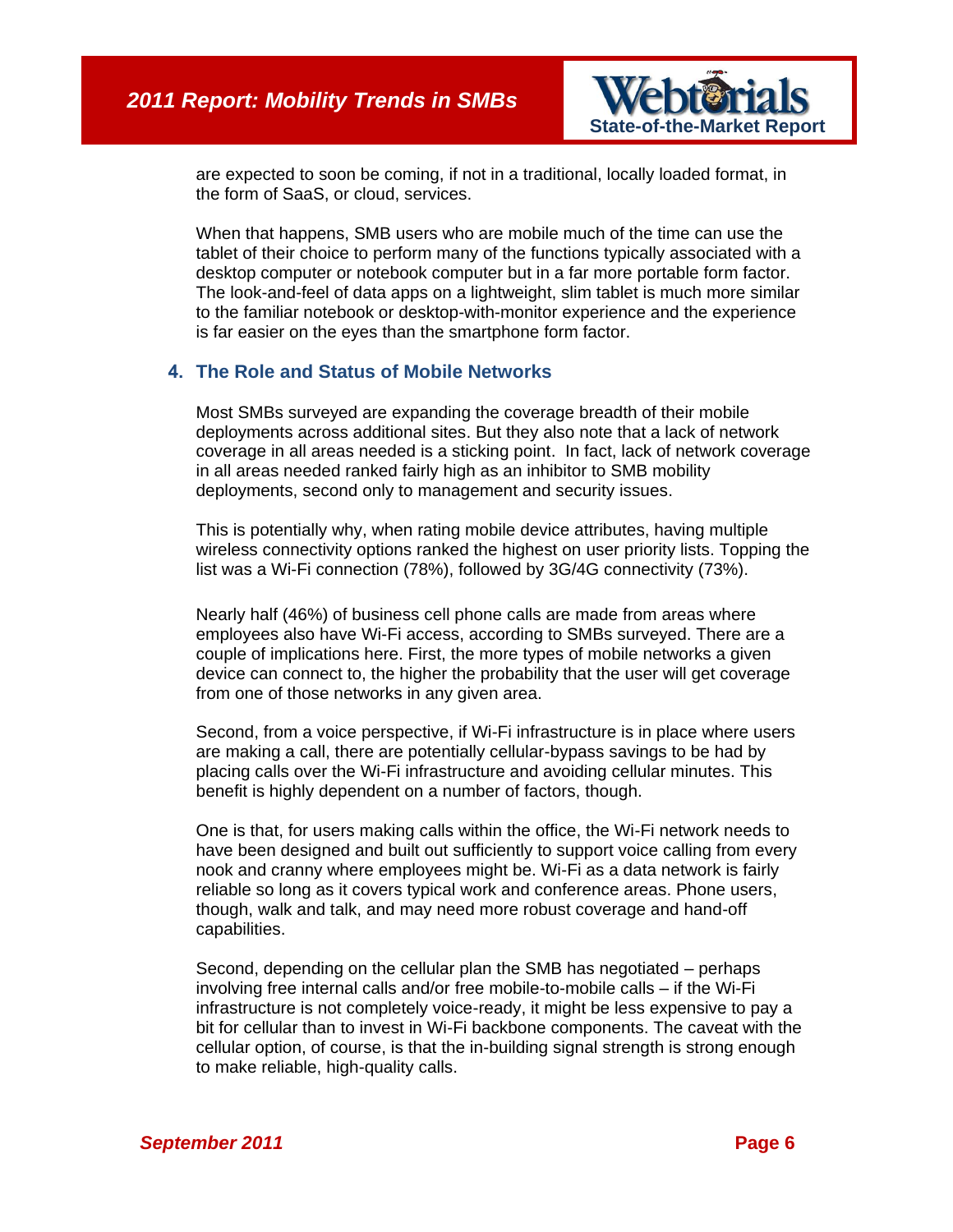

are expected to soon be coming, if not in a traditional, locally loaded format, in the form of SaaS, or cloud, services.

When that happens, SMB users who are mobile much of the time can use the tablet of their choice to perform many of the functions typically associated with a desktop computer or notebook computer but in a far more portable form factor. The look-and-feel of data apps on a lightweight, slim tablet is much more similar to the familiar notebook or desktop-with-monitor experience and the experience is far easier on the eyes than the smartphone form factor.

## **4. The Role and Status of Mobile Networks**

Most SMBs surveyed are expanding the coverage breadth of their mobile deployments across additional sites. But they also note that a lack of network coverage in all areas needed is a sticking point. In fact, lack of network coverage in all areas needed ranked fairly high as an inhibitor to SMB mobility deployments, second only to management and security issues.

This is potentially why, when rating mobile device attributes, having multiple wireless connectivity options ranked the highest on user priority lists. Topping the list was a Wi-Fi connection (78%), followed by 3G/4G connectivity (73%).

Nearly half (46%) of business cell phone calls are made from areas where employees also have Wi-Fi access, according to SMBs surveyed. There are a couple of implications here. First, the more types of mobile networks a given device can connect to, the higher the probability that the user will get coverage from one of those networks in any given area.

Second, from a voice perspective, if Wi-Fi infrastructure is in place where users are making a call, there are potentially cellular-bypass savings to be had by placing calls over the Wi-Fi infrastructure and avoiding cellular minutes. This benefit is highly dependent on a number of factors, though.

One is that, for users making calls within the office, the Wi-Fi network needs to have been designed and built out sufficiently to support voice calling from every nook and cranny where employees might be. Wi-Fi as a data network is fairly reliable so long as it covers typical work and conference areas. Phone users, though, walk and talk, and may need more robust coverage and hand-off capabilities.

Second, depending on the cellular plan the SMB has negotiated – perhaps involving free internal calls and/or free mobile-to-mobile calls – if the Wi-Fi infrastructure is not completely voice-ready, it might be less expensive to pay a bit for cellular than to invest in Wi-Fi backbone components. The caveat with the cellular option, of course, is that the in-building signal strength is strong enough to make reliable, high-quality calls.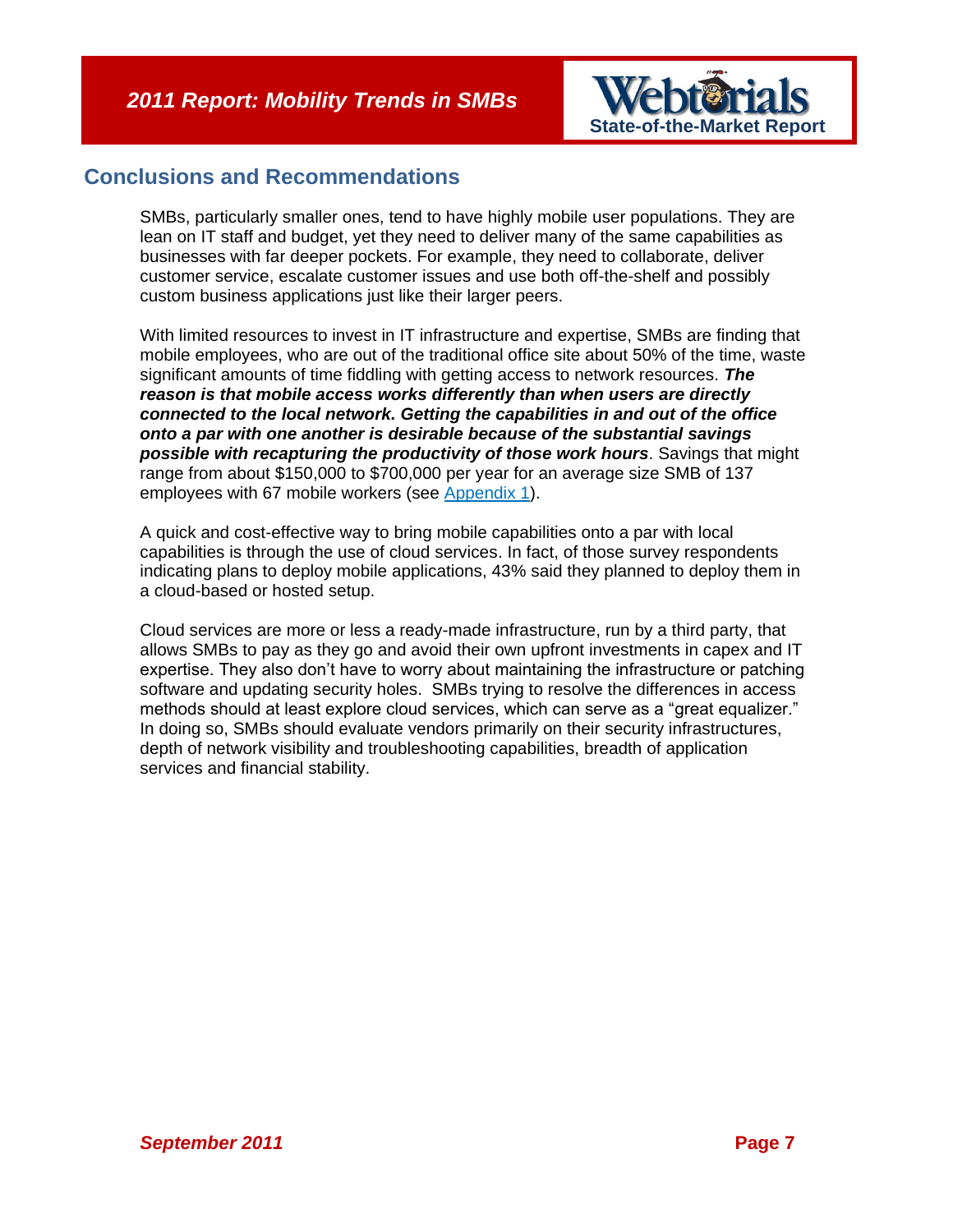

# **Conclusions and Recommendations**

SMBs, particularly smaller ones, tend to have highly mobile user populations. They are lean on IT staff and budget, yet they need to deliver many of the same capabilities as businesses with far deeper pockets. For example, they need to collaborate, deliver customer service, escalate customer issues and use both off-the-shelf and possibly custom business applications just like their larger peers.

With limited resources to invest in IT infrastructure and expertise, SMBs are finding that mobile employees, who are out of the traditional office site about 50% of the time, waste significant amounts of time fiddling with getting access to network resources. *The reason is that mobile access works differently than when users are directly connected to the local network. Getting the capabilities in and out of the office onto a par with one another is desirable because of the substantial savings possible with recapturing the productivity of those work hours*. Savings that might range from about \$150,000 to \$700,000 per year for an average size SMB of 137 employees with 67 mobile workers (see [Appendix 1\)](#page-7-0).

A quick and cost-effective way to bring mobile capabilities onto a par with local capabilities is through the use of cloud services. In fact, of those survey respondents indicating plans to deploy mobile applications, 43% said they planned to deploy them in a cloud-based or hosted setup.

Cloud services are more or less a ready-made infrastructure, run by a third party, that allows SMBs to pay as they go and avoid their own upfront investments in capex and IT expertise. They also don't have to worry about maintaining the infrastructure or patching software and updating security holes. SMBs trying to resolve the differences in access methods should at least explore cloud services, which can serve as a "great equalizer." In doing so, SMBs should evaluate vendors primarily on their security infrastructures, depth of network visibility and troubleshooting capabilities, breadth of application services and financial stability.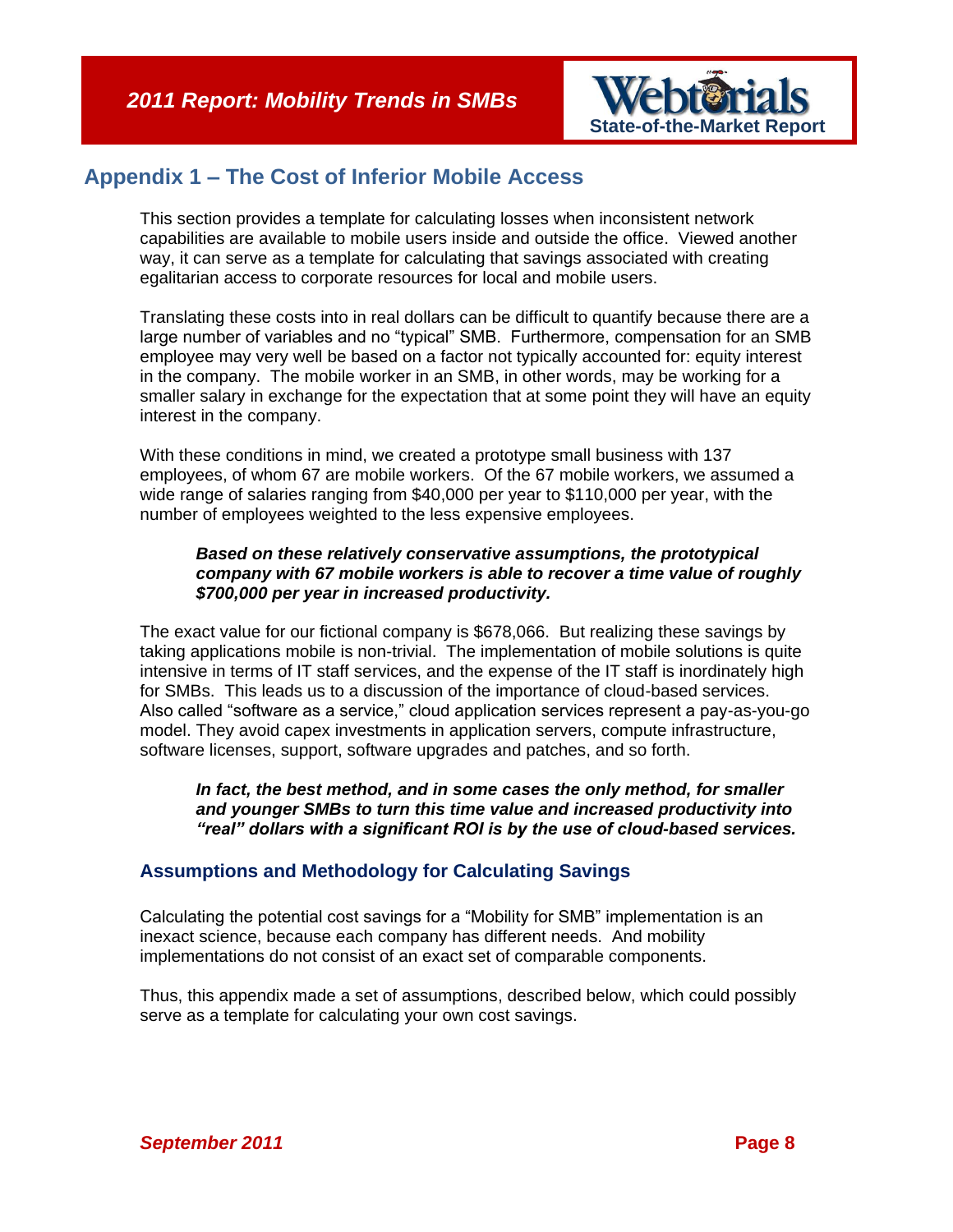

# <span id="page-7-0"></span>**Appendix 1 – The Cost of Inferior Mobile Access**

This section provides a template for calculating losses when inconsistent network capabilities are available to mobile users inside and outside the office. Viewed another way, it can serve as a template for calculating that savings associated with creating egalitarian access to corporate resources for local and mobile users.

Translating these costs into in real dollars can be difficult to quantify because there are a large number of variables and no "typical" SMB. Furthermore, compensation for an SMB employee may very well be based on a factor not typically accounted for: equity interest in the company. The mobile worker in an SMB, in other words, may be working for a smaller salary in exchange for the expectation that at some point they will have an equity interest in the company.

With these conditions in mind, we created a prototype small business with 137 employees, of whom 67 are mobile workers. Of the 67 mobile workers, we assumed a wide range of salaries ranging from \$40,000 per year to \$110,000 per year, with the number of employees weighted to the less expensive employees.

#### *Based on these relatively conservative assumptions, the prototypical company with 67 mobile workers is able to recover a time value of roughly \$700,000 per year in increased productivity.*

The exact value for our fictional company is \$678,066. But realizing these savings by taking applications mobile is non-trivial. The implementation of mobile solutions is quite intensive in terms of IT staff services, and the expense of the IT staff is inordinately high for SMBs. This leads us to a discussion of the importance of cloud-based services. Also called "software as a service," cloud application services represent a pay-as-you-go model. They avoid capex investments in application servers, compute infrastructure, software licenses, support, software upgrades and patches, and so forth.

#### *In fact, the best method, and in some cases the only method, for smaller and younger SMBs to turn this time value and increased productivity into "real" dollars with a significant ROI is by the use of cloud-based services.*

## **Assumptions and Methodology for Calculating Savings**

Calculating the potential cost savings for a "Mobility for SMB" implementation is an inexact science, because each company has different needs. And mobility implementations do not consist of an exact set of comparable components.

Thus, this appendix made a set of assumptions, described below, which could possibly serve as a template for calculating your own cost savings.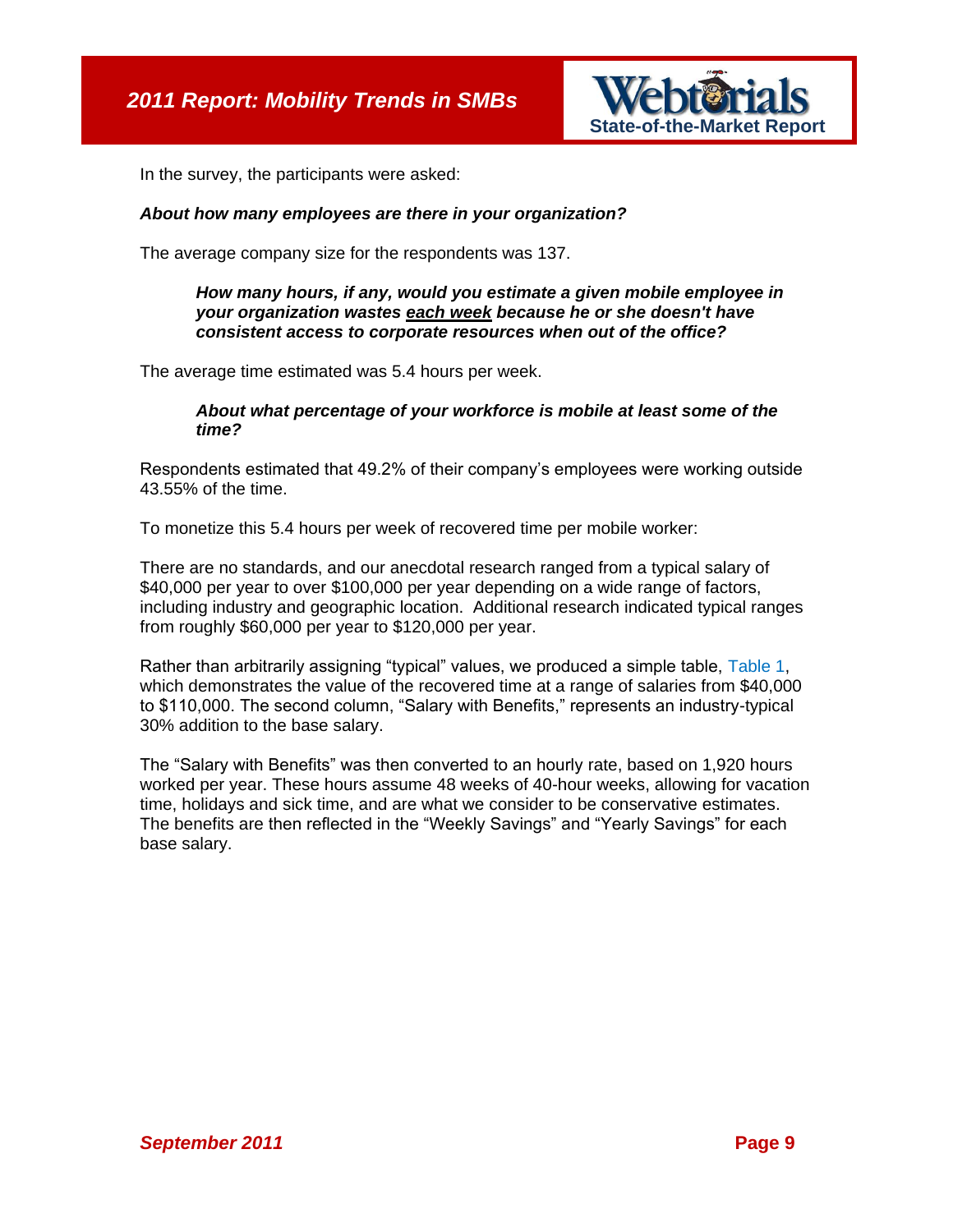

In the survey, the participants were asked:

#### *About how many employees are there in your organization?*

The average company size for the respondents was 137.

#### *How many hours, if any, would you estimate a given mobile employee in your organization wastes each week because he or she doesn't have consistent access to corporate resources when out of the office?*

The average time estimated was 5.4 hours per week.

#### *About what percentage of your workforce is mobile at least some of the time?*

Respondents estimated that 49.2% of their company's employees were working outside 43.55% of the time.

To monetize this 5.4 hours per week of recovered time per mobile worker:

There are no standards, and our anecdotal research ranged from a typical salary of \$40,000 per year to over \$100,000 per year depending on a wide range of factors, including industry and geographic location. Additional research indicated typical ranges from roughly \$60,000 per year to \$120,000 per year.

Rather than arbitrarily assigning "typical" values, we produced a simple table, [Table 1,](#page-9-0) which demonstrates the value of the recovered time at a range of salaries from \$40,000 to \$110,000. The second column, "Salary with Benefits," represents an industry-typical 30% addition to the base salary.

The "Salary with Benefits" was then converted to an hourly rate, based on 1,920 hours worked per year. These hours assume 48 weeks of 40-hour weeks, allowing for vacation time, holidays and sick time, and are what we consider to be conservative estimates. The benefits are then reflected in the "Weekly Savings" and "Yearly Savings" for each base salary.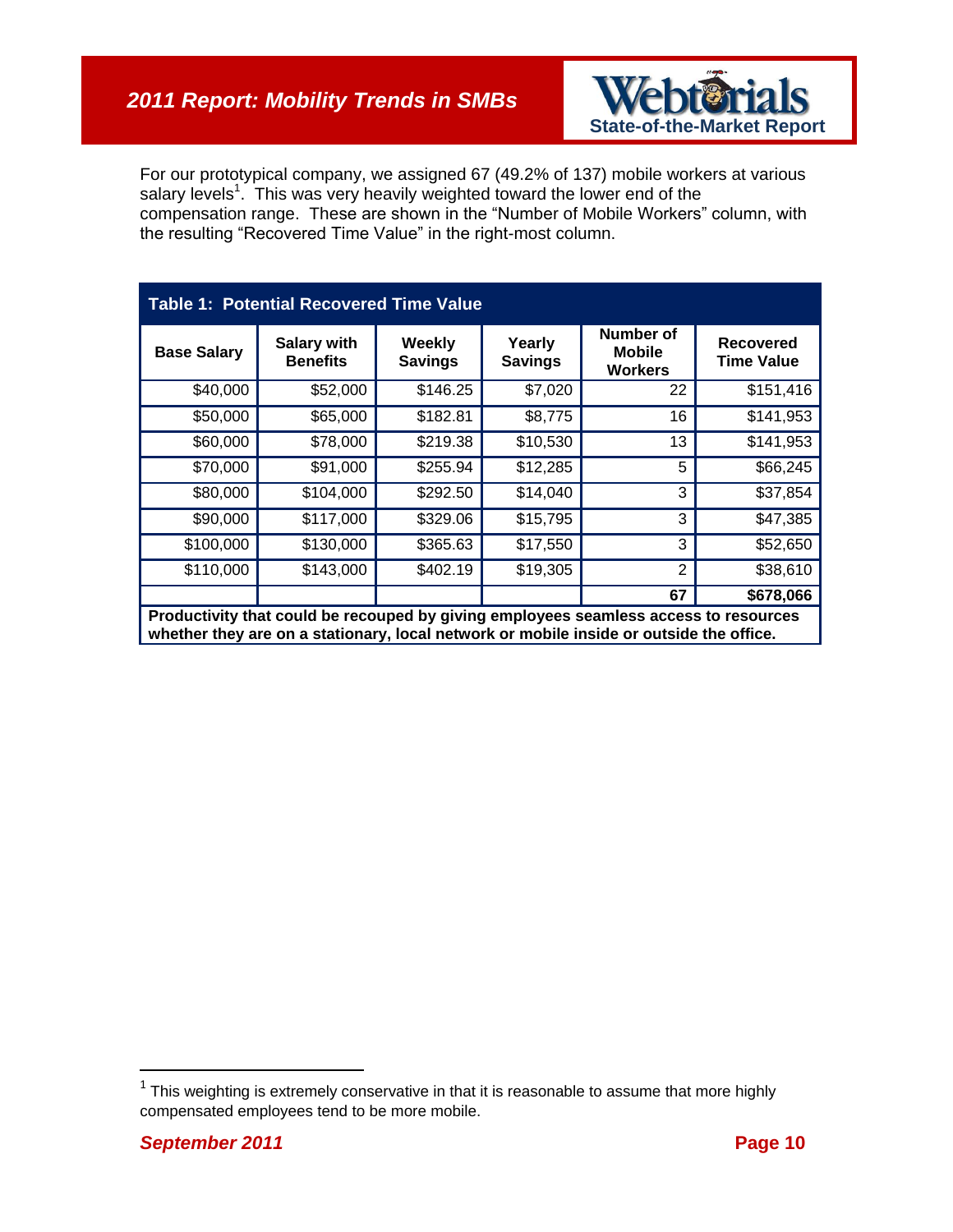

For our prototypical company, we assigned 67 (49.2% of 137) mobile workers at various salary levels<sup>1</sup>. This was very heavily weighted toward the lower end of the compensation range. These are shown in the "Number of Mobile Workers" column, with the resulting "Recovered Time Value" in the right-most column.

<span id="page-9-0"></span>

| <b>Table 1: Potential Recovered Time Value</b>                                       |                                       |                          |                          |                                       |                                       |
|--------------------------------------------------------------------------------------|---------------------------------------|--------------------------|--------------------------|---------------------------------------|---------------------------------------|
| <b>Base Salary</b>                                                                   | <b>Salary with</b><br><b>Benefits</b> | Weekly<br><b>Savings</b> | Yearly<br><b>Savings</b> | Number of<br><b>Mobile</b><br>Workers | <b>Recovered</b><br><b>Time Value</b> |
| \$40,000                                                                             | \$52,000                              | \$146.25                 | \$7,020                  | 22                                    | \$151,416                             |
| \$50,000                                                                             | \$65,000                              | \$182.81                 | \$8,775                  | 16                                    | \$141,953                             |
| \$60,000                                                                             | \$78,000                              | \$219.38                 | \$10,530                 | 13                                    | \$141,953                             |
| \$70,000                                                                             | \$91,000                              | \$255.94                 | \$12,285                 | 5                                     | \$66,245                              |
| \$80,000                                                                             | \$104,000                             | \$292.50                 | \$14,040                 | 3                                     | \$37,854                              |
| \$90,000                                                                             | \$117,000                             | \$329.06                 | \$15,795                 | 3                                     | \$47,385                              |
| \$100,000                                                                            | \$130,000                             | \$365.63                 | \$17,550                 | 3                                     | \$52,650                              |
| \$110,000                                                                            | \$143,000                             | \$402.19                 | \$19,305                 | 2                                     | \$38,610                              |
|                                                                                      |                                       |                          |                          | 67                                    | \$678,066                             |
| Productivity that could be recouped by giving employees seamless access to resources |                                       |                          |                          |                                       |                                       |

**whether they are on a stationary, local network or mobile inside or outside the office.**

 $\overline{a}$ 

 $1$  This weighting is extremely conservative in that it is reasonable to assume that more highly compensated employees tend to be more mobile.